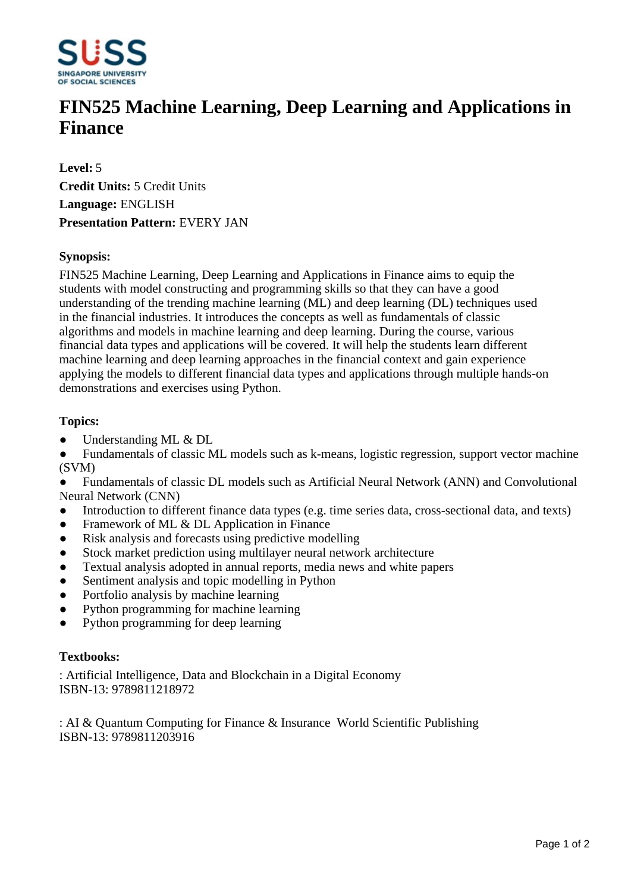

# **FIN525 Machine Learning, Deep Learning and Applications in Finance**

**Level:** 5 **Credit Units:** 5 Credit Units **Language:** ENGLISH **Presentation Pattern:** EVERY JAN

## **Synopsis:**

FIN525 Machine Learning, Deep Learning and Applications in Finance aims to equip the students with model constructing and programming skills so that they can have a good understanding of the trending machine learning (ML) and deep learning (DL) techniques used in the financial industries. It introduces the concepts as well as fundamentals of classic algorithms and models in machine learning and deep learning. During the course, various financial data types and applications will be covered. It will help the students learn different machine learning and deep learning approaches in the financial context and gain experience applying the models to different financial data types and applications through multiple hands-on demonstrations and exercises using Python.

### **Topics:**

- Understanding ML & DL
- Fundamentals of classic ML models such as k-means, logistic regression, support vector machine (SVM)

ƔFundamentals of classic DL models such as Artificial Neural Network (ANN) and Convolutional Neural Network (CNN)

- Introduction to different finance data types (e.g. time series data, cross-sectional data, and texts)
- Framework of ML & DL Application in Finance
- Risk analysis and forecasts using predictive modelling
- Stock market prediction using multilayer neural network architecture
- Textual analysis adopted in annual reports, media news and white papers
- Sentiment analysis and topic modelling in Python
- Portfolio analysis by machine learning
- Python programming for machine learning
- Python programming for deep learning

#### **Textbooks:**

: Artificial Intelligence, Data and Blockchain in a Digital Economy ISBN-13: 9789811218972

: AI & Quantum Computing for Finance & Insurance World Scientific Publishing ISBN-13: 9789811203916